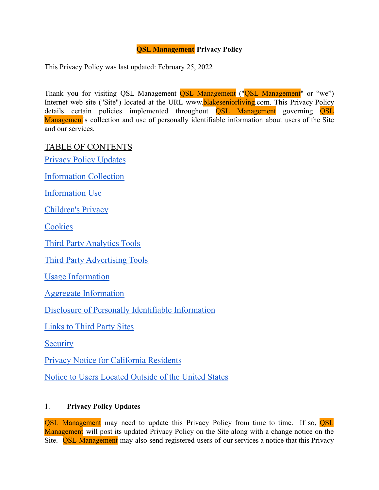### **QSL Management Privacy Policy**

This Privacy Policy was last updated: February 25, 2022

Thank you for visiting QSL Management **QSL Management** ("**QSL Management**" or "we") Internet web site ("Site") located at the URL www.**blakeseniorliving**.com. This Privacy Policy details certain policies implemented throughout **OSL** Management governing **OSL** Management's collection and use of personally identifiable information about users of the Site and our services.

TABLE OF CONTENTS

Privacy Policy [Updates](#page-0-0)

[Information](#page-1-0) Collection

[Information](#page-1-1) Use

[Children's](#page-1-2) Privacy

**[Cookies](#page-1-3)** 

Third Party [Analytics](#page-2-0) Tools

Third Party [Advertising](#page-2-1) Tools

Usage [Information](#page-2-2)

Aggregate [Information](#page-3-0)

Disclosure of Personally Identifiable [Information](#page-3-1)

[Links](#page-3-2) to Third Party Sites

**[Security](#page-3-3)** 

Privacy Notice for [California](#page-4-0) Residents

Notice to Users [Located](#page-9-0) Outside of the United States

#### <span id="page-0-0"></span>1. **Privacy Policy Updates**

**OSL Management** may need to update this Privacy Policy from time to time. If so, **OSL** Management will post its updated Privacy Policy on the Site along with a change notice on the Site. **OSL Management** may also send registered users of our services a notice that this Privacy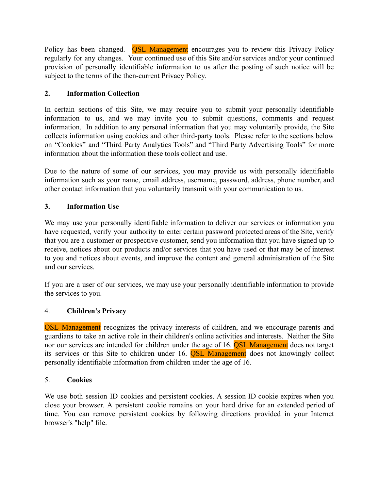Policy has been changed. **QSL Management** encourages you to review this Privacy Policy regularly for any changes. Your continued use of this Site and/or services and/or your continued provision of personally identifiable information to us after the posting of such notice will be subject to the terms of the then-current Privacy Policy.

### <span id="page-1-0"></span>**2. Information Collection**

In certain sections of this Site, we may require you to submit your personally identifiable information to us, and we may invite you to submit questions, comments and request information. In addition to any personal information that you may voluntarily provide, the Site collects information using cookies and other third-party tools. Please refer to the sections below on "Cookies" and "Third Party Analytics Tools" and "Third Party Advertising Tools" for more information about the information these tools collect and use.

Due to the nature of some of our services, you may provide us with personally identifiable information such as your name, email address, username, password, address, phone number, and other contact information that you voluntarily transmit with your communication to us.

### <span id="page-1-1"></span>**3. Information Use**

We may use your personally identifiable information to deliver our services or information you have requested, verify your authority to enter certain password protected areas of the Site, verify that you are a customer or prospective customer, send you information that you have signed up to receive, notices about our products and/or services that you have used or that may be of interest to you and notices about events, and improve the content and general administration of the Site and our services.

If you are a user of our services, we may use your personally identifiable information to provide the services to you.

### <span id="page-1-2"></span>4. **Children's Privacy**

QSL Management recognizes the privacy interests of children, and we encourage parents and guardians to take an active role in their children's online activities and interests. Neither the Site nor our services are intended for children under the age of 16. **OSL Management** does not target its services or this Site to children under 16. QSL Management does not knowingly collect personally identifiable information from children under the age of 16.

### <span id="page-1-3"></span>5. **Cookies**

We use both session ID cookies and persistent cookies. A session ID cookie expires when you close your browser. A persistent cookie remains on your hard drive for an extended period of time. You can remove persistent cookies by following directions provided in your Internet browser's "help" file.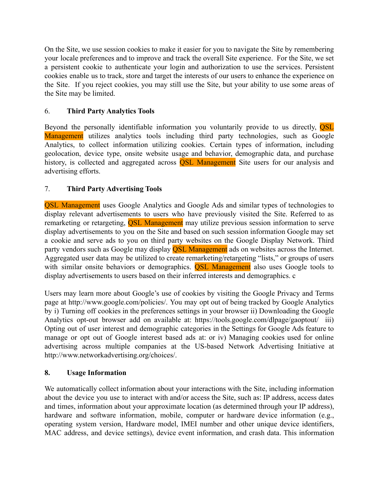On the Site, we use session cookies to make it easier for you to navigate the Site by remembering your locale preferences and to improve and track the overall Site experience. For the Site, we set a persistent cookie to authenticate your login and authorization to use the services. Persistent cookies enable us to track, store and target the interests of our users to enhance the experience on the Site. If you reject cookies, you may still use the Site, but your ability to use some areas of the Site may be limited.

#### <span id="page-2-0"></span>6. **Third Party Analytics Tools**

Beyond the personally identifiable information you voluntarily provide to us directly, **OSL** Management utilizes analytics tools including third party technologies, such as Google Analytics, to collect information utilizing cookies. Certain types of information, including geolocation, device type, onsite website usage and behavior, demographic data, and purchase history, is collected and aggregated across **QSL Management** Site users for our analysis and advertising efforts.

#### <span id="page-2-1"></span>7. **Third Party Advertising Tools**

QSL Management uses Google Analytics and Google Ads and similar types of technologies to display relevant advertisements to users who have previously visited the Site. Referred to as remarketing or retargeting, **OSL Management** may utilize previous session information to serve display advertisements to you on the Site and based on such session information Google may set a cookie and serve ads to you on third party websites on the Google Display Network. Third party vendors such as Google may display **OSL Management** ads on websites across the Internet. Aggregated user data may be utilized to create remarketing/retargeting "lists," or groups of users with similar onsite behaviors or demographics. **QSL Management** also uses Google tools to display advertisements to users based on their inferred interests and demographics. c

Users may learn more about Google's use of cookies by visiting the Google Privacy and Terms page at http://www.google.com/policies/. You may opt out of being tracked by Google Analytics by i) Turning off cookies in the preferences settings in your browser ii) Downloading the Google Analytics opt-out browser add on available at: https://tools.google.com/dlpage/gaoptout/ iii) Opting out of user interest and demographic categories in the Settings for Google Ads feature to manage or opt out of Google interest based ads at: or iv) Managing cookies used for online advertising across multiple companies at the US-based Network Advertising Initiative at http://www.networkadvertising.org/choices/.

#### <span id="page-2-2"></span>**8. Usage Information**

We automatically collect information about your interactions with the Site, including information about the device you use to interact with and/or access the Site, such as: IP address, access dates and times, information about your approximate location (as determined through your IP address), hardware and software information, mobile, computer or hardware device information (e.g., operating system version, Hardware model, IMEI number and other unique device identifiers, MAC address, and device settings), device event information, and crash data. This information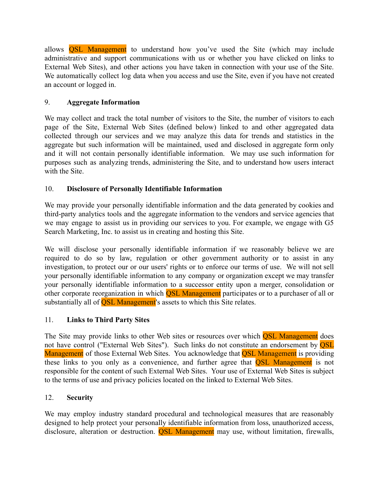allows QSL Management to understand how you've used the Site (which may include administrative and support communications with us or whether you have clicked on links to External Web Sites), and other actions you have taken in connection with your use of the Site. We automatically collect log data when you access and use the Site, even if you have not created an account or logged in.

### <span id="page-3-0"></span>9. **Aggregate Information**

We may collect and track the total number of visitors to the Site, the number of visitors to each page of the Site, External Web Sites (defined below) linked to and other aggregated data collected through our services and we may analyze this data for trends and statistics in the aggregate but such information will be maintained, used and disclosed in aggregate form only and it will not contain personally identifiable information. We may use such information for purposes such as analyzing trends, administering the Site, and to understand how users interact with the Site.

## <span id="page-3-1"></span>10. **Disclosure of Personally Identifiable Information**

We may provide your personally identifiable information and the data generated by cookies and third-party analytics tools and the aggregate information to the vendors and service agencies that we may engage to assist us in providing our services to you. For example, we engage with G5 Search Marketing, Inc. to assist us in creating and hosting this Site.

We will disclose your personally identifiable information if we reasonably believe we are required to do so by law, regulation or other government authority or to assist in any investigation, to protect our or our users' rights or to enforce our terms of use. We will not sell your personally identifiable information to any company or organization except we may transfer your personally identifiable information to a successor entity upon a merger, consolidation or other corporate reorganization in which **OSL Management** participates or to a purchaser of all or substantially all of **QSL Management**'s assets to which this Site relates.

### <span id="page-3-2"></span>11. **Links to Third Party Sites**

The Site may provide links to other Web sites or resources over which **QSL Management** does not have control ("External Web Sites"). Such links do not constitute an endorsement by **OSL** Management of those External Web Sites. You acknowledge that **QSL Management** is providing these links to you only as a convenience, and further agree that QSL Management is not responsible for the content of such External Web Sites. Your use of External Web Sites is subject to the terms of use and privacy policies located on the linked to External Web Sites.

### <span id="page-3-3"></span>12. **Security**

We may employ industry standard procedural and technological measures that are reasonably designed to help protect your personally identifiable information from loss, unauthorized access, disclosure, alteration or destruction. **QSL Management** may use, without limitation, firewalls,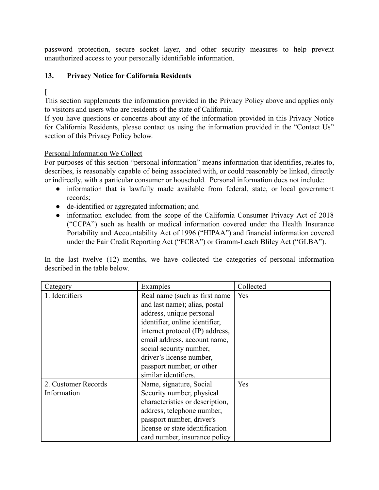password protection, secure socket layer, and other security measures to help prevent unauthorized access to your personally identifiable information.

### <span id="page-4-0"></span>**13. Privacy Notice for California Residents**

# **[**

This section supplements the information provided in the Privacy Policy above and applies only to visitors and users who are residents of the state of California.

If you have questions or concerns about any of the information provided in this Privacy Notice for California Residents, please contact us using the information provided in the "Contact Us" section of this Privacy Policy below.

#### Personal Information We Collect

For purposes of this section "personal information" means information that identifies, relates to, describes, is reasonably capable of being associated with, or could reasonably be linked, directly or indirectly, with a particular consumer or household. Personal information does not include:

- information that is lawfully made available from federal, state, or local government records;
- de-identified or aggregated information; and
- information excluded from the scope of the California Consumer Privacy Act of 2018 ("CCPA") such as health or medical information covered under the Health Insurance Portability and Accountability Act of 1996 ("HIPAA") and financial information covered under the Fair Credit Reporting Act ("FCRA") or Gramm-Leach Bliley Act ("GLBA").

In the last twelve (12) months, we have collected the categories of personal information described in the table below.

| Category                           | Examples                                                                                                                                                                                                               | Collected |
|------------------------------------|------------------------------------------------------------------------------------------------------------------------------------------------------------------------------------------------------------------------|-----------|
| 1. Identifiers                     | Real name (such as first name)<br>and last name); alias, postal<br>address, unique personal<br>identifier, online identifier,<br>internet protocol (IP) address,                                                       | Yes       |
|                                    | email address, account name,<br>social security number,<br>driver's license number,<br>passport number, or other<br>similar identifiers.                                                                               |           |
| 2. Customer Records<br>Information | Name, signature, Social<br>Security number, physical<br>characteristics or description,<br>address, telephone number,<br>passport number, driver's<br>license or state identification<br>card number, insurance policy | Yes       |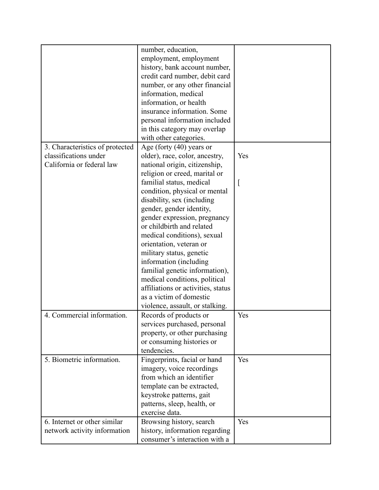| number, education,<br>employment, employment<br>history, bank account number,<br>credit card number, debit card<br>number, or any other financial<br>information, medical<br>information, or health<br>insurance information. Some<br>personal information included<br>in this category may overlap |
|-----------------------------------------------------------------------------------------------------------------------------------------------------------------------------------------------------------------------------------------------------------------------------------------------------|
|                                                                                                                                                                                                                                                                                                     |
|                                                                                                                                                                                                                                                                                                     |
|                                                                                                                                                                                                                                                                                                     |
|                                                                                                                                                                                                                                                                                                     |
|                                                                                                                                                                                                                                                                                                     |
|                                                                                                                                                                                                                                                                                                     |
|                                                                                                                                                                                                                                                                                                     |
|                                                                                                                                                                                                                                                                                                     |
|                                                                                                                                                                                                                                                                                                     |
|                                                                                                                                                                                                                                                                                                     |
| with other categories.                                                                                                                                                                                                                                                                              |
| Age (forty (40) years or<br>3. Characteristics of protected                                                                                                                                                                                                                                         |
| classifications under<br>Yes<br>older), race, color, ancestry,                                                                                                                                                                                                                                      |
| California or federal law<br>national origin, citizenship,                                                                                                                                                                                                                                          |
| religion or creed, marital or                                                                                                                                                                                                                                                                       |
| familial status, medical                                                                                                                                                                                                                                                                            |
| condition, physical or mental                                                                                                                                                                                                                                                                       |
| disability, sex (including                                                                                                                                                                                                                                                                          |
| gender, gender identity,                                                                                                                                                                                                                                                                            |
| gender expression, pregnancy                                                                                                                                                                                                                                                                        |
| or childbirth and related                                                                                                                                                                                                                                                                           |
| medical conditions), sexual                                                                                                                                                                                                                                                                         |
| orientation, veteran or                                                                                                                                                                                                                                                                             |
| military status, genetic                                                                                                                                                                                                                                                                            |
|                                                                                                                                                                                                                                                                                                     |
| information (including                                                                                                                                                                                                                                                                              |
| familial genetic information),                                                                                                                                                                                                                                                                      |
| medical conditions, political                                                                                                                                                                                                                                                                       |
| affiliations or activities, status                                                                                                                                                                                                                                                                  |
| as a victim of domestic                                                                                                                                                                                                                                                                             |
| violence, assault, or stalking.                                                                                                                                                                                                                                                                     |
| 4. Commercial information.<br>Yes<br>Records of products or                                                                                                                                                                                                                                         |
| services purchased, personal                                                                                                                                                                                                                                                                        |
| property, or other purchasing                                                                                                                                                                                                                                                                       |
| or consuming histories or                                                                                                                                                                                                                                                                           |
| tendencies.                                                                                                                                                                                                                                                                                         |
| 5. Biometric information.<br>Yes<br>Fingerprints, facial or hand                                                                                                                                                                                                                                    |
| imagery, voice recordings                                                                                                                                                                                                                                                                           |
| from which an identifier                                                                                                                                                                                                                                                                            |
| template can be extracted,                                                                                                                                                                                                                                                                          |
| keystroke patterns, gait                                                                                                                                                                                                                                                                            |
| patterns, sleep, health, or                                                                                                                                                                                                                                                                         |
| exercise data.                                                                                                                                                                                                                                                                                      |
| 6. Internet or other similar<br>Yes<br>Browsing history, search                                                                                                                                                                                                                                     |
| history, information regarding<br>network activity information                                                                                                                                                                                                                                      |
| consumer's interaction with a                                                                                                                                                                                                                                                                       |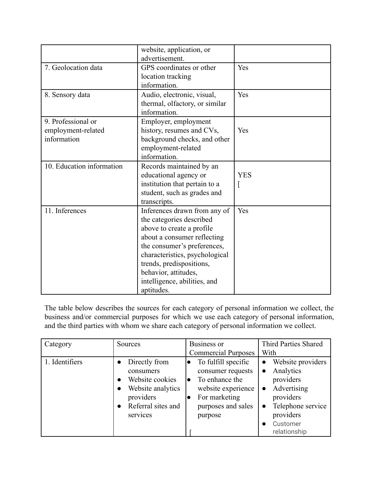|                           | website, application, or       |            |  |
|---------------------------|--------------------------------|------------|--|
|                           | advertisement.                 |            |  |
| 7. Geolocation data       | GPS coordinates or other       | Yes        |  |
|                           | location tracking              |            |  |
|                           | information.                   |            |  |
| 8. Sensory data           | Audio, electronic, visual,     | Yes        |  |
|                           | thermal, olfactory, or similar |            |  |
|                           | information.                   |            |  |
| 9. Professional or        | Employer, employment           |            |  |
| employment-related        | history, resumes and CVs,      | Yes        |  |
| information               | background checks, and other   |            |  |
|                           | employment-related             |            |  |
|                           | information.                   |            |  |
| 10. Education information | Records maintained by an       |            |  |
|                           | educational agency or          | <b>YES</b> |  |
|                           | institution that pertain to a  |            |  |
|                           | student, such as grades and    |            |  |
|                           | transcripts.                   |            |  |
| 11. Inferences            | Inferences drawn from any of   | Yes        |  |
|                           | the categories described       |            |  |
|                           | above to create a profile      |            |  |
|                           | about a consumer reflecting    |            |  |
|                           | the consumer's preferences,    |            |  |
|                           | characteristics, psychological |            |  |
|                           | trends, predispositions,       |            |  |
|                           | behavior, attitudes,           |            |  |
|                           | intelligence, abilities, and   |            |  |
|                           | aptitudes.                     |            |  |

The table below describes the sources for each category of personal information we collect, the business and/or commercial purposes for which we use each category of personal information, and the third parties with whom we share each category of personal information we collect.

| Category       | Sources                                                                                                                                                               | <b>Business or</b><br><b>Commercial Purposes</b>                                                                                               | Third Parties Shared<br>With                                                                                                                                                              |  |
|----------------|-----------------------------------------------------------------------------------------------------------------------------------------------------------------------|------------------------------------------------------------------------------------------------------------------------------------------------|-------------------------------------------------------------------------------------------------------------------------------------------------------------------------------------------|--|
| 1. Identifiers | Directly from<br>$\bullet$<br>consumers<br>Website cookies<br>$\bullet$<br>Website analytics<br>$\bullet$<br>providers<br>Referral sites and<br>$\bullet$<br>services | To fulfill specific<br>lo<br>consumer requests<br>To enhance the<br>lo<br>website experience<br>For marketing<br>purposes and sales<br>purpose | Website providers<br>$\bullet$<br>Analytics<br>$\bullet$<br>providers<br>Advertising<br>$\bullet$<br>providers<br>Telephone service<br>$\bullet$<br>providers<br>Customer<br>relationship |  |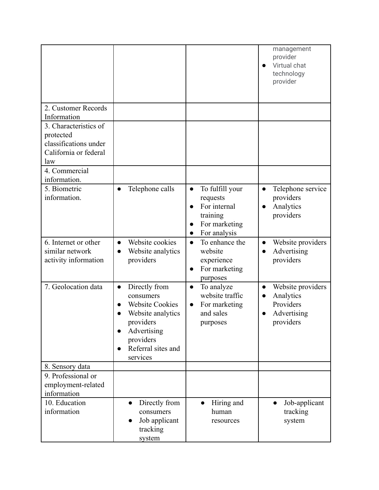|                                                                                             |                                                                                                                                                                   |                                                                                                                    | management<br>provider<br>Virtual chat<br>technology<br>provider                                  |
|---------------------------------------------------------------------------------------------|-------------------------------------------------------------------------------------------------------------------------------------------------------------------|--------------------------------------------------------------------------------------------------------------------|---------------------------------------------------------------------------------------------------|
| 2. Customer Records<br>Information                                                          |                                                                                                                                                                   |                                                                                                                    |                                                                                                   |
| 3. Characteristics of<br>protected<br>classifications under<br>California or federal<br>law |                                                                                                                                                                   |                                                                                                                    |                                                                                                   |
| 4. Commercial<br>information.                                                               |                                                                                                                                                                   |                                                                                                                    |                                                                                                   |
| 5. Biometric<br>information.                                                                | Telephone calls                                                                                                                                                   | To fulfill your<br>$\bullet$<br>requests<br>For internal<br>$\bullet$<br>training<br>For marketing<br>For analysis | Telephone service<br>$\bullet$<br>providers<br>Analytics<br>providers                             |
| 6. Internet or other<br>similar network<br>activity information                             | Website cookies<br>$\bullet$<br>Website analytics<br>$\bullet$<br>providers                                                                                       | To enhance the<br>$\bullet$<br>website<br>experience<br>For marketing<br>purposes                                  | Website providers<br>$\bullet$<br>Advertising<br>$\bullet$<br>providers                           |
| 7. Geolocation data                                                                         | Directly from<br>$\bullet$<br>consumers<br><b>Website Cookies</b><br>Website analytics<br>providers<br>Advertising<br>providers<br>Referral sites and<br>services | To analyze<br>$\bullet$<br>website traffic<br>For marketing<br>$\bullet$<br>and sales<br>purposes                  | Website providers<br>$\bullet$<br>Analytics<br>$\bullet$<br>Providers<br>Advertising<br>providers |
| 8. Sensory data                                                                             |                                                                                                                                                                   |                                                                                                                    |                                                                                                   |
| 9. Professional or<br>employment-related<br>information                                     |                                                                                                                                                                   |                                                                                                                    |                                                                                                   |
| 10. Education<br>information                                                                | Directly from<br>$\bullet$<br>consumers<br>Job applicant<br>tracking<br>system                                                                                    | Hiring and<br>$\bullet$<br>human<br>resources                                                                      | Job-applicant<br>$\bullet$<br>tracking<br>system                                                  |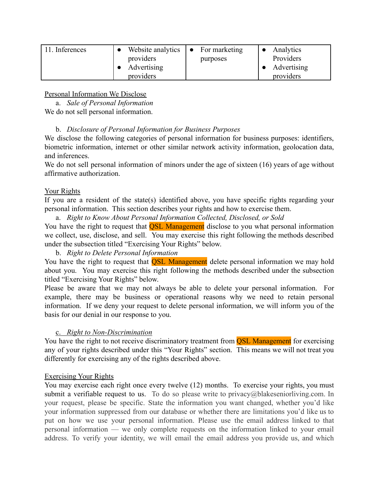| . Inferences | Website analytics $\bullet$ For marketing |          | Analytics     |
|--------------|-------------------------------------------|----------|---------------|
|              | providers                                 | purposes | Providers     |
|              | Advertising                               |          | • Advertising |
|              | providers                                 |          | providers     |

#### Personal Information We Disclose

a. *Sale of Personal Information* We do not sell personal information.

#### b. *Disclosure of Personal Information for Business Purposes*

We disclose the following categories of personal information for business purposes: identifiers, biometric information, internet or other similar network activity information, geolocation data, and inferences.

We do not sell personal information of minors under the age of sixteen (16) years of age without affirmative authorization.

#### Your Rights

If you are a resident of the state(s) identified above, you have specific rights regarding your personal information. This section describes your rights and how to exercise them.

a. *Right to Know About Personal Information Collected, Disclosed, or Sold*

You have the right to request that **QSL Management** disclose to you what personal information we collect, use, disclose, and sell. You may exercise this right following the methods described under the subsection titled "Exercising Your Rights" below.

### b. *Right to Delete Personal Information*

You have the right to request that **QSL Management** delete personal information we may hold about you. You may exercise this right following the methods described under the subsection titled "Exercising Your Rights" below.

Please be aware that we may not always be able to delete your personal information. For example, there may be business or operational reasons why we need to retain personal information. If we deny your request to delete personal information, we will inform you of the basis for our denial in our response to you.

### c. *Right to Non-Discrimination*

You have the right to not receive discriminatory treatment from **OSL Management** for exercising any of your rights described under this "Your Rights" section. This means we will not treat you differently for exercising any of the rights described above.

#### Exercising Your Rights

You may exercise each right once every twelve (12) months. To exercise your rights, you must submit a verifiable request to us. To do so please write to privacy@blakeseniorliving.com. In your request, please be specific. State the information you want changed, whether you'd like your information suppressed from our database or whether there are limitations you'd like us to put on how we use your personal information. Please use the email address linked to that personal information — we only complete requests on the information linked to your email address. To verify your identity, we will email the email address you provide us, and which